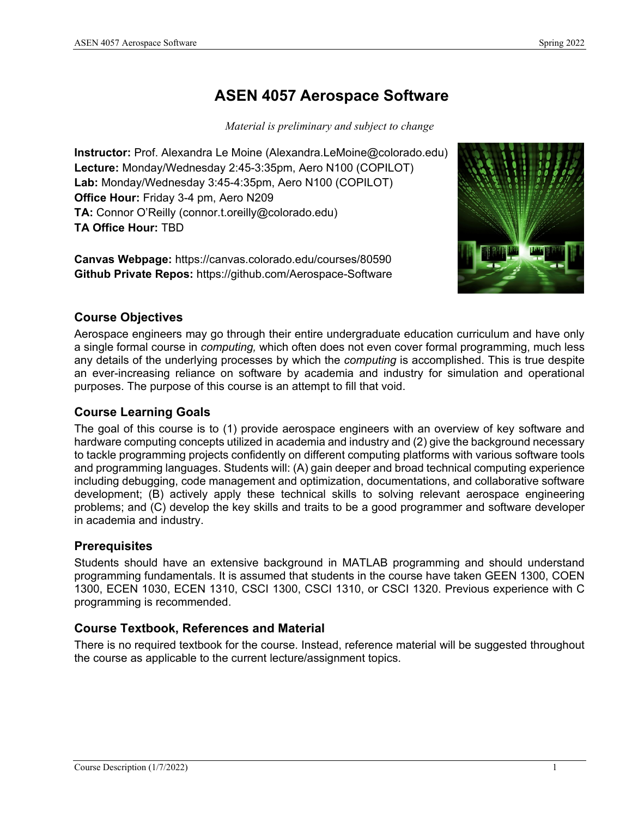# **ASEN 4057 Aerospace Software**

*Material is preliminary and subject to change*

**Instructor:** Prof. Alexandra Le Moine (Alexandra.LeMoine@colorado.edu) **Lecture:** Monday/Wednesday 2:45-3:35pm, Aero N100 (COPILOT) **Lab:** Monday/Wednesday 3:45-4:35pm, Aero N100 (COPILOT) **Office Hour:** Friday 3-4 pm, Aero N209 **TA:** Connor O'Reilly (connor.t.oreilly@colorado.edu) **TA Office Hour:** TBD

**Canvas Webpage:** https://canvas.colorado.edu/courses/80590 **Github Private Repos:** https://github.com/Aerospace-Software



# **Course Objectives**

Aerospace engineers may go through their entire undergraduate education curriculum and have only a single formal course in *computing,* which often does not even cover formal programming, much less any details of the underlying processes by which the *computing* is accomplished. This is true despite an ever-increasing reliance on software by academia and industry for simulation and operational purposes. The purpose of this course is an attempt to fill that void.

### **Course Learning Goals**

The goal of this course is to (1) provide aerospace engineers with an overview of key software and hardware computing concepts utilized in academia and industry and (2) give the background necessary to tackle programming projects confidently on different computing platforms with various software tools and programming languages. Students will: (A) gain deeper and broad technical computing experience including debugging, code management and optimization, documentations, and collaborative software development; (B) actively apply these technical skills to solving relevant aerospace engineering problems; and (C) develop the key skills and traits to be a good programmer and software developer in academia and industry.

# **Prerequisites**

Students should have an extensive background in MATLAB programming and should understand programming fundamentals. It is assumed that students in the course have taken GEEN 1300, COEN 1300, ECEN 1030, ECEN 1310, CSCI 1300, CSCI 1310, or CSCI 1320. Previous experience with C programming is recommended.

# **Course Textbook, References and Material**

There is no required textbook for the course. Instead, reference material will be suggested throughout the course as applicable to the current lecture/assignment topics.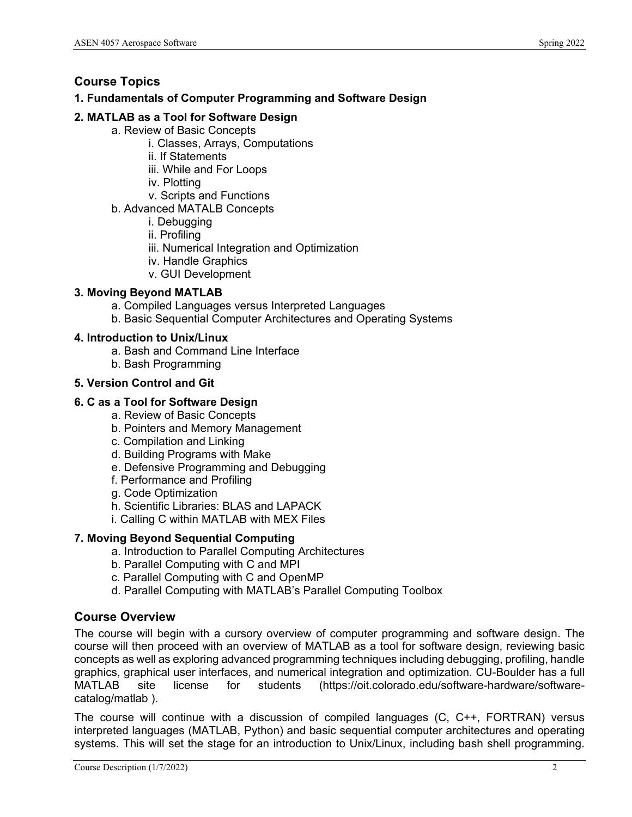# **Course Topics**

#### **1. Fundamentals of Computer Programming and Software Design**

### **2. MATLAB as a Tool for Software Design**

- a. Review of Basic Concepts
	- i. Classes, Arrays, Computations
	- ii. If Statements
	- iii. While and For Loops
	- iv. Plotting
	- v. Scripts and Functions
- b. Advanced MATALB Concepts
	- i. Debugging
	- ii. Profiling
	- iii. Numerical Integration and Optimization
	- iv. Handle Graphics
	- v. GUI Development

#### **3. Moving Beyond MATLAB**

- a. Compiled Languages versus Interpreted Languages
- b. Basic Sequential Computer Architectures and Operating Systems

#### **4. Introduction to Unix/Linux**

- a. Bash and Command Line Interface
- b. Bash Programming

#### **5. Version Control and Git**

# **6. C as a Tool for Software Design**

- a. Review of Basic Concepts
- b. Pointers and Memory Management
- c. Compilation and Linking
- d. Building Programs with Make
- e. Defensive Programming and Debugging
- f. Performance and Profiling
- g. Code Optimization
- h. Scientific Libraries: BLAS and LAPACK
- i. Calling C within MATLAB with MEX Files

# **7. Moving Beyond Sequential Computing**

- a. Introduction to Parallel Computing Architectures
- b. Parallel Computing with C and MPI
- c. Parallel Computing with C and OpenMP
- d. Parallel Computing with MATLAB's Parallel Computing Toolbox

# **Course Overview**

The course will begin with a cursory overview of computer programming and software design. The course will then proceed with an overview of MATLAB as a tool for software design, reviewing basic concepts as well as exploring advanced programming techniques including debugging, profiling, handle graphics, graphical user interfaces, and numerical integration and optimization. CU-Boulder has a full<br>MATLAB site license for students (https://oit.colorado.edu/software-hardware/softwaresite license for students (https://oit.colorado.edu/software-hardware/softwarecatalog/matlab ).

The course will continue with a discussion of compiled languages (C, C++, FORTRAN) versus interpreted languages (MATLAB, Python) and basic sequential computer architectures and operating systems. This will set the stage for an introduction to Unix/Linux, including bash shell programming.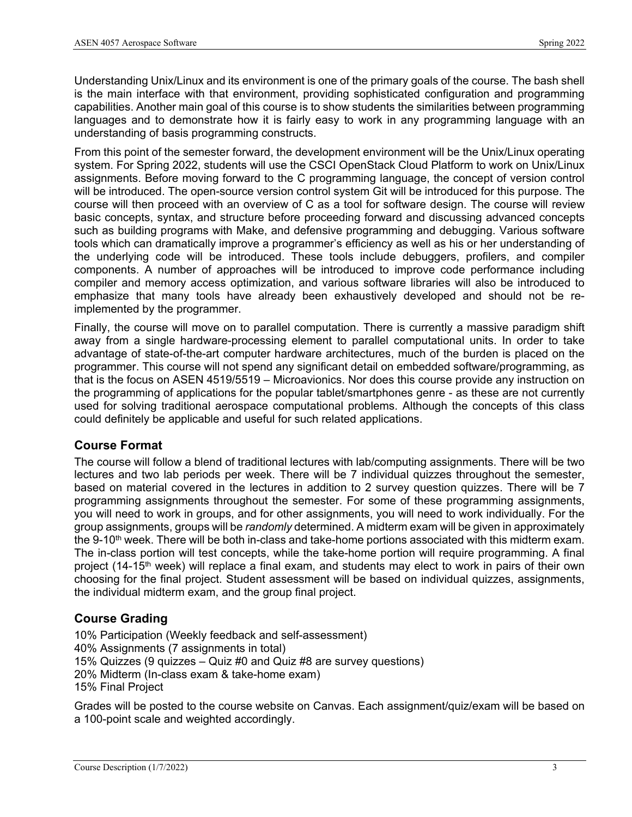Understanding Unix/Linux and its environment is one of the primary goals of the course. The bash shell is the main interface with that environment, providing sophisticated configuration and programming capabilities. Another main goal of this course is to show students the similarities between programming languages and to demonstrate how it is fairly easy to work in any programming language with an understanding of basis programming constructs.

From this point of the semester forward, the development environment will be the Unix/Linux operating system. For Spring 2022, students will use the CSCI OpenStack Cloud Platform to work on Unix/Linux assignments. Before moving forward to the C programming language, the concept of version control will be introduced. The open-source version control system Git will be introduced for this purpose. The course will then proceed with an overview of C as a tool for software design. The course will review basic concepts, syntax, and structure before proceeding forward and discussing advanced concepts such as building programs with Make, and defensive programming and debugging. Various software tools which can dramatically improve a programmer's efficiency as well as his or her understanding of the underlying code will be introduced. These tools include debuggers, profilers, and compiler components. A number of approaches will be introduced to improve code performance including compiler and memory access optimization, and various software libraries will also be introduced to emphasize that many tools have already been exhaustively developed and should not be reimplemented by the programmer.

Finally, the course will move on to parallel computation. There is currently a massive paradigm shift away from a single hardware-processing element to parallel computational units. In order to take advantage of state-of-the-art computer hardware architectures, much of the burden is placed on the programmer. This course will not spend any significant detail on embedded software/programming, as that is the focus on ASEN 4519/5519 – Microavionics. Nor does this course provide any instruction on the programming of applications for the popular tablet/smartphones genre - as these are not currently used for solving traditional aerospace computational problems. Although the concepts of this class could definitely be applicable and useful for such related applications.

#### **Course Format**

The course will follow a blend of traditional lectures with lab/computing assignments. There will be two lectures and two lab periods per week. There will be 7 individual quizzes throughout the semester, based on material covered in the lectures in addition to 2 survey question quizzes. There will be 7 programming assignments throughout the semester. For some of these programming assignments, you will need to work in groups, and for other assignments, you will need to work individually. For the group assignments, groups will be *randomly* determined. A midterm exam will be given in approximately the 9-10<sup>th</sup> week. There will be both in-class and take-home portions associated with this midterm exam. The in-class portion will test concepts, while the take-home portion will require programming. A final project (14-15<sup>th</sup> week) will replace a final exam, and students may elect to work in pairs of their own choosing for the final project. Student assessment will be based on individual quizzes, assignments, the individual midterm exam, and the group final project.

# **Course Grading**

10% Participation (Weekly feedback and self-assessment) 40% Assignments (7 assignments in total) 15% Quizzes (9 quizzes – Quiz #0 and Quiz #8 are survey questions) 20% Midterm (In-class exam & take-home exam) 15% Final Project

Grades will be posted to the course website on Canvas. Each assignment/quiz/exam will be based on a 100-point scale and weighted accordingly.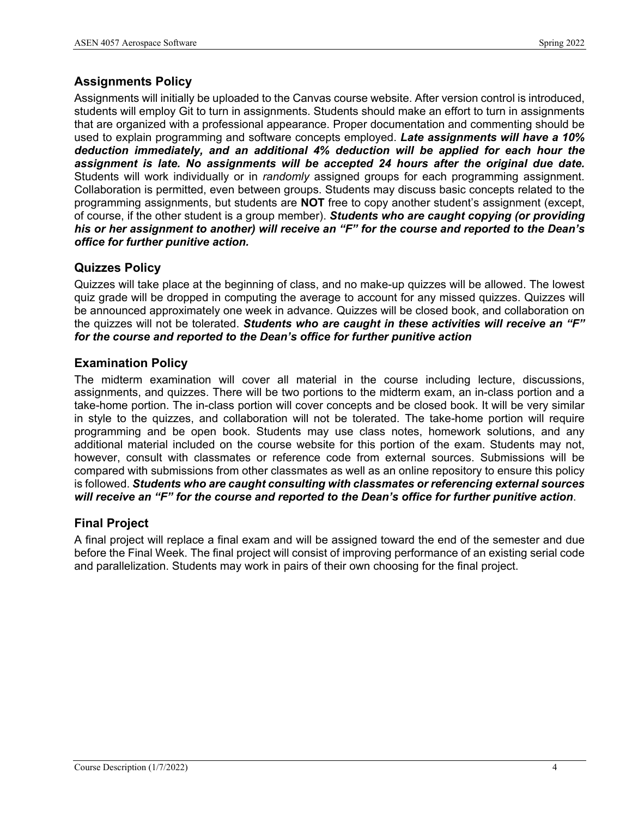# **Assignments Policy**

Assignments will initially be uploaded to the Canvas course website. After version control is introduced, students will employ Git to turn in assignments. Students should make an effort to turn in assignments that are organized with a professional appearance. Proper documentation and commenting should be used to explain programming and software concepts employed. *Late assignments will have a 10% deduction immediately, and an additional 4% deduction will be applied for each hour the assignment is late. No assignments will be accepted 24 hours after the original due date.*  Students will work individually or in *randomly* assigned groups for each programming assignment. Collaboration is permitted, even between groups. Students may discuss basic concepts related to the programming assignments, but students are **NOT** free to copy another student's assignment (except, of course, if the other student is a group member). *Students who are caught copying (or providing his or her assignment to another) will receive an "F" for the course and reported to the Dean's office for further punitive action.*

# **Quizzes Policy**

Quizzes will take place at the beginning of class, and no make-up quizzes will be allowed. The lowest quiz grade will be dropped in computing the average to account for any missed quizzes. Quizzes will be announced approximately one week in advance. Quizzes will be closed book, and collaboration on the quizzes will not be tolerated. *Students who are caught in these activities will receive an "F" for the course and reported to the Dean's office for further punitive action*

#### **Examination Policy**

The midterm examination will cover all material in the course including lecture, discussions, assignments, and quizzes. There will be two portions to the midterm exam, an in-class portion and a take-home portion. The in-class portion will cover concepts and be closed book. It will be very similar in style to the quizzes, and collaboration will not be tolerated. The take-home portion will require programming and be open book. Students may use class notes, homework solutions, and any additional material included on the course website for this portion of the exam. Students may not, however, consult with classmates or reference code from external sources. Submissions will be compared with submissions from other classmates as well as an online repository to ensure this policy is followed. *Students who are caught consulting with classmates or referencing external sources will receive an "F" for the course and reported to the Dean's office for further punitive action*.

#### **Final Project**

A final project will replace a final exam and will be assigned toward the end of the semester and due before the Final Week. The final project will consist of improving performance of an existing serial code and parallelization. Students may work in pairs of their own choosing for the final project.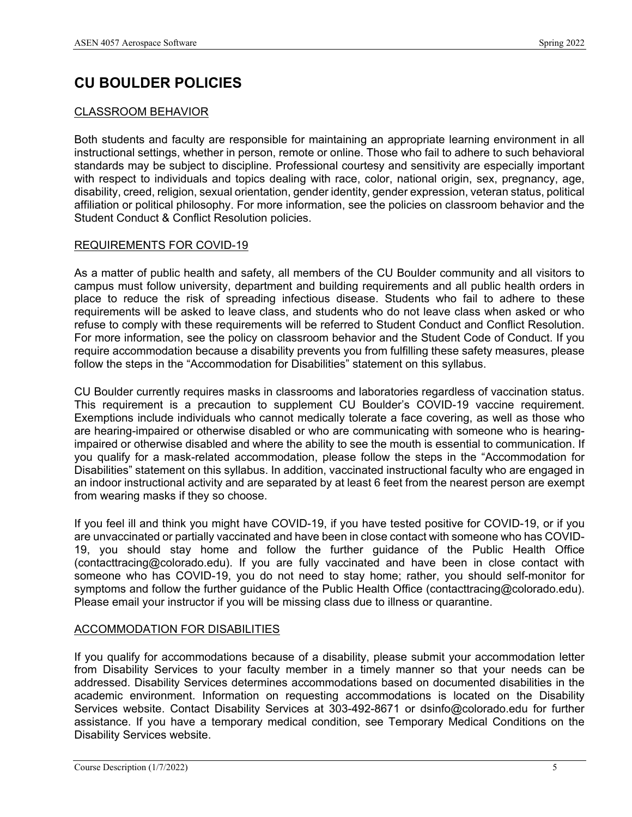# **CU BOULDER POLICIES**

#### CLASSROOM BEHAVIOR

Both students and faculty are responsible for maintaining an appropriate learning environment in all instructional settings, whether in person, remote or online. Those who fail to adhere to such behavioral standards may be subject to discipline. Professional courtesy and sensitivity are especially important with respect to individuals and topics dealing with race, color, national origin, sex, pregnancy, age, disability, creed, religion, sexual orientation, gender identity, gender expression, veteran status, political affiliation or political philosophy. For more information, see the policies on classroom behavior and the Student Conduct & Conflict Resolution policies.

#### REQUIREMENTS FOR COVID-19

As a matter of public health and safety, all members of the CU Boulder community and all visitors to campus must follow university, department and building requirements and all public health orders in place to reduce the risk of spreading infectious disease. Students who fail to adhere to these requirements will be asked to leave class, and students who do not leave class when asked or who refuse to comply with these requirements will be referred to Student Conduct and Conflict Resolution. For more information, see the policy on classroom behavior and the Student Code of Conduct. If you require accommodation because a disability prevents you from fulfilling these safety measures, please follow the steps in the "Accommodation for Disabilities" statement on this syllabus.

CU Boulder currently requires masks in classrooms and laboratories regardless of vaccination status. This requirement is a precaution to supplement CU Boulder's COVID-19 vaccine requirement. Exemptions include individuals who cannot medically tolerate a face covering, as well as those who are hearing-impaired or otherwise disabled or who are communicating with someone who is hearingimpaired or otherwise disabled and where the ability to see the mouth is essential to communication. If you qualify for a mask-related accommodation, please follow the steps in the "Accommodation for Disabilities" statement on this syllabus. In addition, vaccinated instructional faculty who are engaged in an indoor instructional activity and are separated by at least 6 feet from the nearest person are exempt from wearing masks if they so choose.

If you feel ill and think you might have COVID-19, if you have tested positive for COVID-19, or if you are unvaccinated or partially vaccinated and have been in close contact with someone who has COVID-19, you should stay home and follow the further guidance of the Public Health Office (contacttracing@colorado.edu). If you are fully vaccinated and have been in close contact with someone who has COVID-19, you do not need to stay home; rather, you should self-monitor for symptoms and follow the further guidance of the Public Health Office (contacttracing@colorado.edu). Please email your instructor if you will be missing class due to illness or quarantine.

#### ACCOMMODATION FOR DISABILITIES

If you qualify for accommodations because of a disability, please submit your accommodation letter from Disability Services to your faculty member in a timely manner so that your needs can be addressed. Disability Services determines accommodations based on documented disabilities in the academic environment. Information on requesting accommodations is located on the Disability Services website. Contact Disability Services at 303-492-8671 or dsinfo@colorado.edu for further assistance. If you have a temporary medical condition, see Temporary Medical Conditions on the Disability Services website.